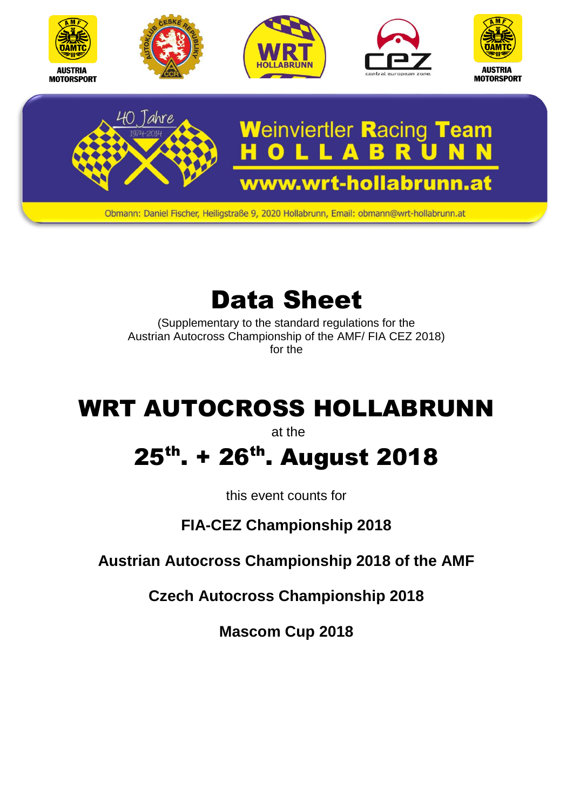

# Data Sheet

(Supplementary to the standard regulations for the Austrian Autocross Championship of the AMF/ FIA CEZ 2018) for the

## WRT AUTOCROSS HOLLABRUNN

at the

## 25<sup>th</sup>. + 26<sup>th</sup>. August 2018

this event counts for

### **FIA-CEZ Championship 2018**

**Austrian Autocross Championship 2018 of the AMF**

**Czech Autocross Championship 2018**

**Mascom Cup 2018**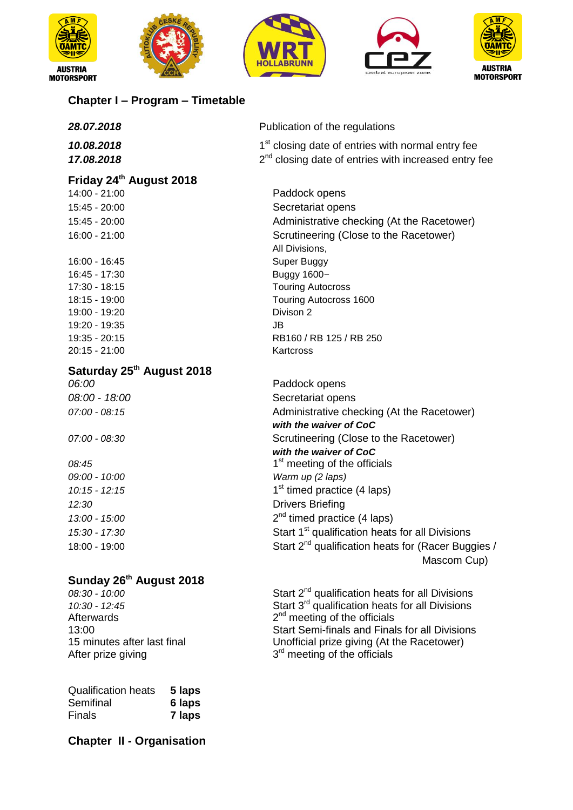









#### **Chapter I – Program – Timetable**

| 28.07.2018                | Publication of the regulations                                                                                          |
|---------------------------|-------------------------------------------------------------------------------------------------------------------------|
| 10.08.2018<br>17.08.2018  | 1 <sup>st</sup> closing date of entries with normal entry fee<br>$2nd$ closing date of entries with increased entry fee |
| Friday 24th August 2018   |                                                                                                                         |
| 14:00 - 21:00             | Paddock opens                                                                                                           |
| $15:45 - 20:00$           | Secretariat opens                                                                                                       |
| $15:45 - 20:00$           | Administrative checking (At the Racetower)                                                                              |
| $16:00 - 21:00$           | Scrutineering (Close to the Racetower)                                                                                  |
|                           | All Divisions,                                                                                                          |
| 16:00 - 16:45             | Super Buggy                                                                                                             |
| 16:45 - 17:30             | Buggy 1600-                                                                                                             |
| 17:30 - 18:15             | <b>Touring Autocross</b>                                                                                                |
| 18:15 - 19:00             | Touring Autocross 1600                                                                                                  |
| 19:00 - 19:20             | Divison 2                                                                                                               |
| 19:20 - 19:35             | JB                                                                                                                      |
| 19:35 - 20:15             | RB160 / RB 125 / RB 250                                                                                                 |
| 20:15 - 21:00             | Kartcross                                                                                                               |
| Saturday 25th August 2018 |                                                                                                                         |
| 06:00                     | Paddock opens                                                                                                           |
| 08:00 - 18:00             | Secretariat opens                                                                                                       |
| $07:00 - 08:15$           | Administrative checking (At the Racetower)                                                                              |
|                           | with the waiver of CoC                                                                                                  |
| $07:00 - 08:30$           | Scrutineering (Close to the Racetower)                                                                                  |
|                           | with the waiver of CoC                                                                                                  |
| 08:45                     | 1 <sup>st</sup> meeting of the officials                                                                                |
| 09:00 - 10:00             | Warm up (2 laps)                                                                                                        |
| $10:15 - 12:15$           | 1 <sup>st</sup> timed practice (4 laps)                                                                                 |
| 12:30                     | <b>Drivers Briefing</b>                                                                                                 |
| 13:00 - 15:00             | $2nd$ timed practice (4 laps)                                                                                           |
| 15:30 - 17:30             | Start 1 <sup>st</sup> qualification heats for all Divisions                                                             |
| 18:00 - 19:00             | Start 2 <sup>nd</sup> qualification heats for (Racer Buggies /                                                          |
|                           | Mascom Cup)                                                                                                             |

### **Sunday 26th August 2018**

**Afterwards** After prize giving

| <b>Qualification heats</b> | 5 laps |
|----------------------------|--------|
| Semifinal                  | 6 laps |
| Finals                     | 7 laps |

**Chapter II - Organisation**

*08:30 - 10:00* Start 2nd qualification heats for all Divisions *10:30 - 12:45* Start 3rd qualification heats for all Divisions  $2<sup>nd</sup>$  meeting of the officials 13:00<br>15 minutes after last final Start Semi-finals and Finals for all Divisions<br>15 minutes after last final Unofficial prize giving (At the Racetower) 15 minutes after last final Unofficial prize giving (At the Racetower) <sup>rd</sup> meeting of the officials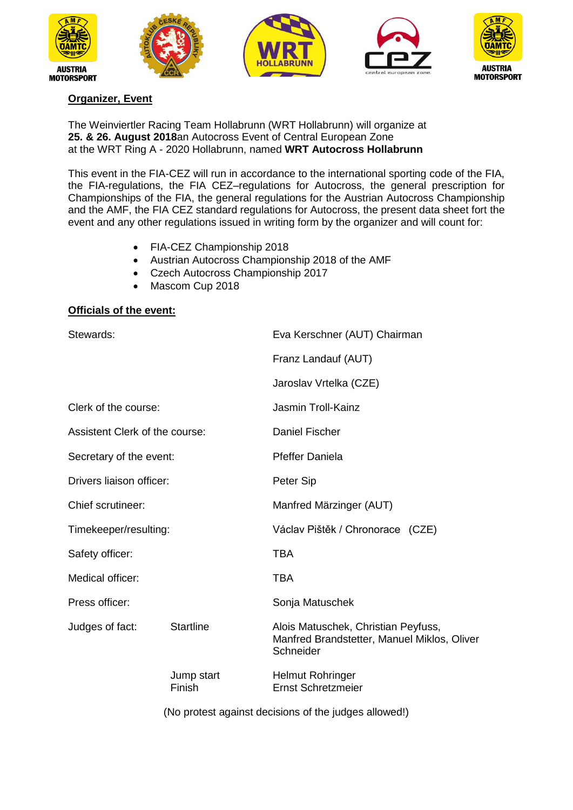









#### **Organizer, Event**

The Weinviertler Racing Team Hollabrunn (WRT Hollabrunn) will organize at **25. & 26. August 2018**an Autocross Event of Central European Zone at the WRT Ring A - 2020 Hollabrunn, named **WRT Autocross Hollabrunn**

This event in the FIA-CEZ will run in accordance to the international sporting code of the FIA, the FIA-regulations, the FIA CEZ–regulations for Autocross, the general prescription for Championships of the FIA, the general regulations for the Austrian Autocross Championship and the AMF, the FIA CEZ standard regulations for Autocross, the present data sheet fort the event and any other regulations issued in writing form by the organizer and will count for:

- FIA-CEZ Championship 2018
- Austrian Autocross Championship 2018 of the AMF
- Czech Autocross Championship 2017
- Mascom Cup 2018

#### **Officials of the event:**

| Stewards:                      |                      | Eva Kerschner (AUT) Chairman                                                                    |
|--------------------------------|----------------------|-------------------------------------------------------------------------------------------------|
|                                |                      | Franz Landauf (AUT)                                                                             |
|                                |                      | Jaroslav Vrtelka (CZE)                                                                          |
| Clerk of the course:           |                      | <b>Jasmin Troll-Kainz</b>                                                                       |
| Assistent Clerk of the course: |                      | <b>Daniel Fischer</b>                                                                           |
| Secretary of the event:        |                      | <b>Pfeffer Daniela</b>                                                                          |
| Drivers liaison officer:       |                      | Peter Sip                                                                                       |
| Chief scrutineer:              |                      | Manfred Märzinger (AUT)                                                                         |
| Timekeeper/resulting:          |                      | Václav Pištěk / Chronorace (CZE)                                                                |
| Safety officer:                |                      | <b>TBA</b>                                                                                      |
| Medical officer:               |                      | <b>TBA</b>                                                                                      |
| Press officer:                 |                      | Sonja Matuschek                                                                                 |
| Judges of fact:                | <b>Startline</b>     | Alois Matuschek, Christian Peyfuss,<br>Manfred Brandstetter, Manuel Miklos, Oliver<br>Schneider |
|                                | Jump start<br>Finish | <b>Helmut Rohringer</b><br><b>Ernst Schretzmeier</b>                                            |

(No protest against decisions of the judges allowed!)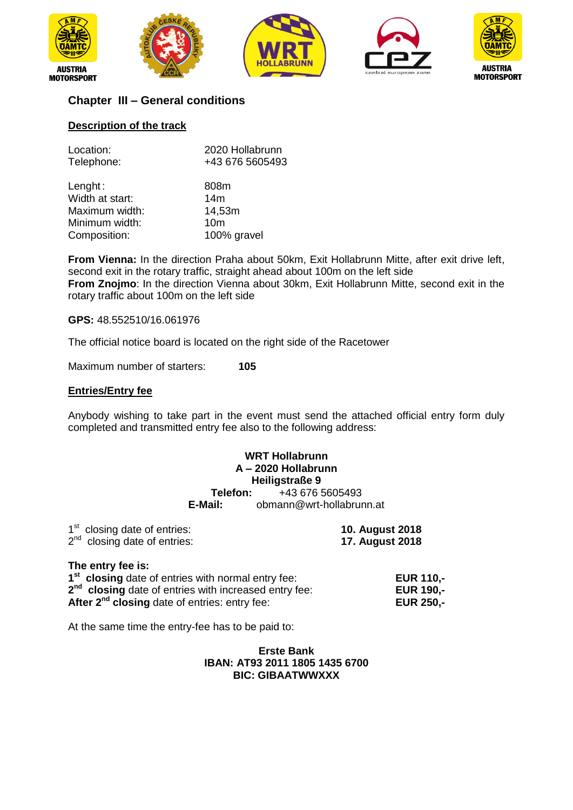









#### **Chapter III – General conditions**

#### **Description of the track**

| 2020 Hollabrunn<br>+43 676 5605493 |
|------------------------------------|
| 808m                               |
| 14 <sub>m</sub>                    |
| 14,53m                             |
| 10 <sub>m</sub>                    |
| 100% gravel                        |
|                                    |

**From Vienna:** In the direction Praha about 50km, Exit Hollabrunn Mitte, after exit drive left, second exit in the rotary traffic, straight ahead about 100m on the left side **From Znojmo**: In the direction Vienna about 30km, Exit Hollabrunn Mitte, second exit in the rotary traffic about 100m on the left side

#### **GPS:** 48.552510/16.061976

The official notice board is located on the right side of the Racetower

Maximum number of starters: **105**

#### **Entries/Entry fee**

Anybody wishing to take part in the event must send the attached official entry form duly completed and transmitted entry fee also to the following address:

#### **WRT Hollabrunn A – 2020 Hollabrunn Heiligstraße 9**<br>**Felefon:** +43 676 5 **Telefon:** +43 676 5605493<br>**E-Mail:** obmann@wrt-hollabru **E-Mail:** obmann@wrt-hollabrunn.at

| 1 <sup>st</sup> closing date of entries: | <b>10. August 2018</b> |
|------------------------------------------|------------------------|
| $2nd$ closing date of entries:           | <b>17. August 2018</b> |

#### **The entry fee is:**

| 1 <sup>st</sup> closing date of entries with normal entry fee:    | <b>EUR 110.-</b> |
|-------------------------------------------------------------------|------------------|
| 2 <sup>nd</sup> closing date of entries with increased entry fee: | <b>EUR 190.-</b> |
| After 2 <sup>nd</sup> closing date of entries: entry fee:         | <b>EUR 250.-</b> |

At the same time the entry-fee has to be paid to:

#### **Erste Bank IBAN: AT93 2011 1805 1435 6700 BIC: GIBAATWWXXX**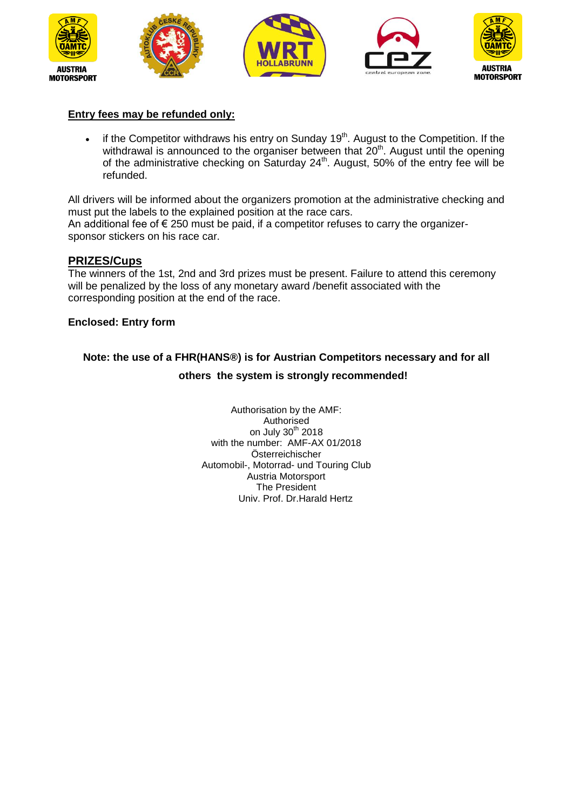









#### **Entry fees may be refunded only:**

 $\bullet$  if the Competitor withdraws his entry on Sunday 19<sup>th</sup>. August to the Competition. If the withdrawal is announced to the organiser between that  $20<sup>th</sup>$ . August until the opening of the administrative checking on Saturday  $24<sup>th</sup>$ . August, 50% of the entry fee will be refunded.

All drivers will be informed about the organizers promotion at the administrative checking and must put the labels to the explained position at the race cars. An additional fee of  $\epsilon$  250 must be paid, if a competitor refuses to carry the organizersponsor stickers on his race car.

#### **PRIZES/Cups**

The winners of the 1st, 2nd and 3rd prizes must be present. Failure to attend this ceremony will be penalized by the loss of any monetary award /benefit associated with the corresponding position at the end of the race.

#### **Enclosed: Entry form**

### **Note: the use of a FHR(HANS®) is for Austrian Competitors necessary and for all**

#### **others the system is strongly recommended!**

Authorisation by the AMF: Authorised on July 30<sup>th</sup> 2018 with the number: AMF-AX 01/2018 Österreichischer Automobil-, Motorrad- und Touring Club Austria Motorsport The President Univ. Prof. Dr.Harald Hertz